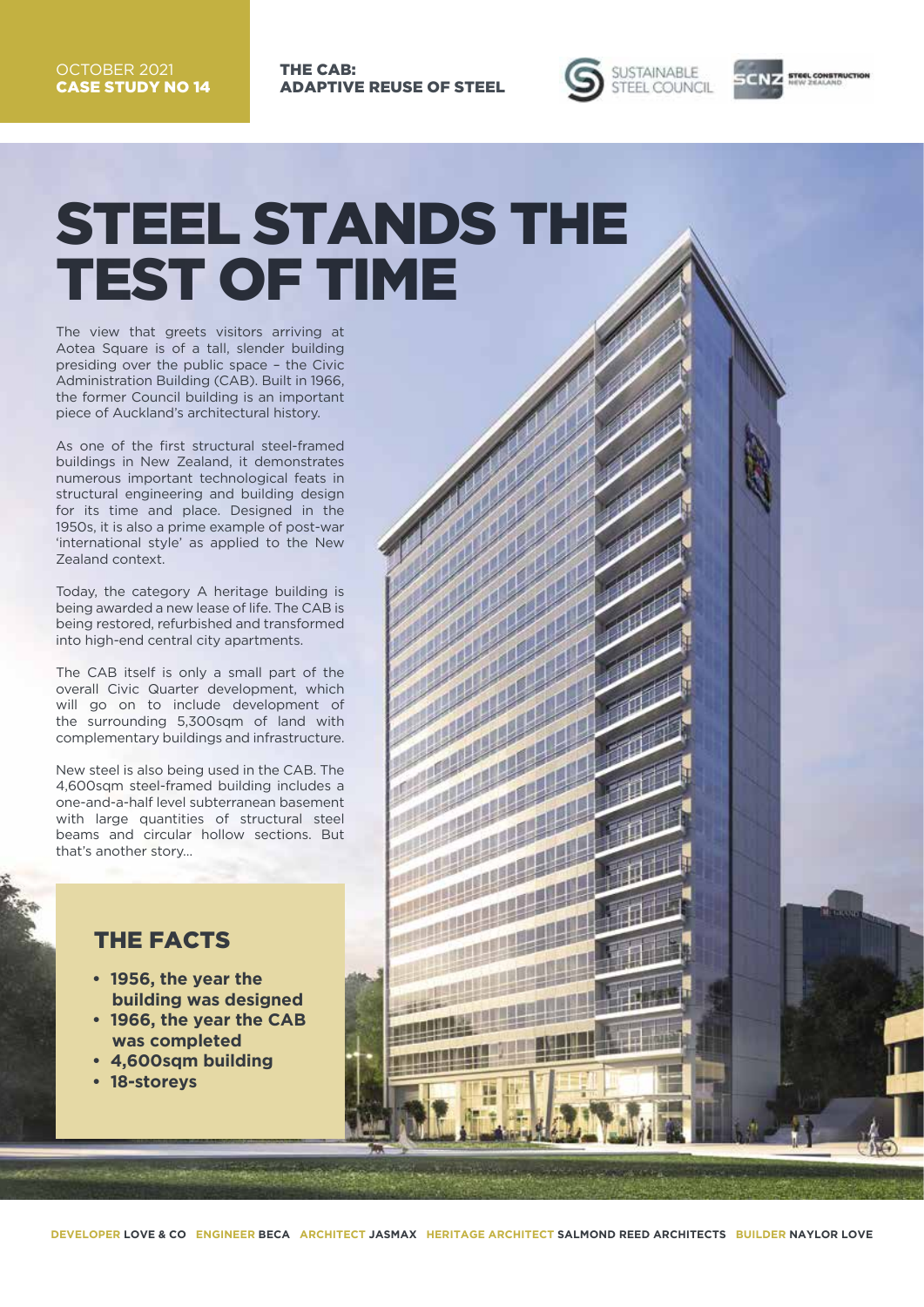THE CAB: ADAPTIVE REUSE OF STEEL



**STEEL CONSTRUCTI** 

# STEEL STANDS THE TEST OF TIME

The view that greets visitors arriving at Aotea Square is of a tall, slender building presiding over the public space – the Civic Administration Building (CAB). Built in 1966, the former Council building is an important piece of Auckland's architectural history.

As one of the first structural steel-framed buildings in New Zealand, it demonstrates numerous important technological feats in structural engineering and building design for its time and place. Designed in the 1950s, it is also a prime example of post-war 'international style' as applied to the New Zealand context.

Today, the category A heritage building is being awarded a new lease of life. The CAB is being restored, refurbished and transformed into high-end central city apartments.

The CAB itself is only a small part of the overall Civic Quarter development, which will go on to include development of the surrounding 5,300sqm of land with complementary buildings and infrastructure.

New steel is also being used in the CAB. The 4,600sqm steel-framed building includes a one-and-a-half level subterranean basement with large quantities of structural steel beams and circular hollow sections. But that's another story…

### THE FACTS

- **1956, the year the building was designed**
- **1966, the year the CAB was completed**
- **4,600sqm building**
- **18-storeys**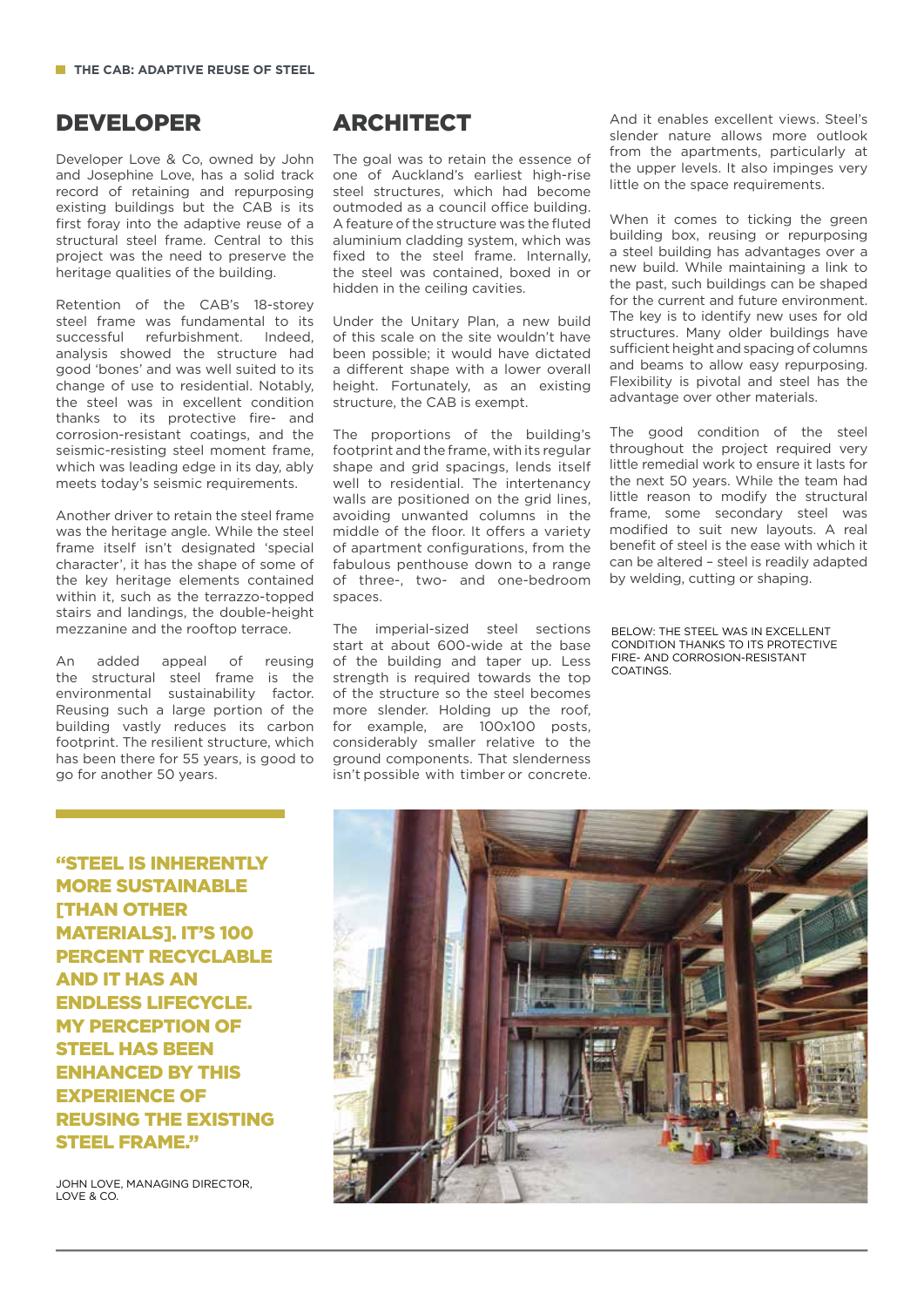#### DEVELOPER

Developer Love & Co, owned by John and Josephine Love, has a solid track record of retaining and repurposing existing buildings but the CAB is its first foray into the adaptive reuse of a structural steel frame. Central to this project was the need to preserve the heritage qualities of the building.

Retention of the CAB's 18-storey steel frame was fundamental to its successful refurbishment. Indeed, analysis showed the structure had good 'bones' and was well suited to its change of use to residential. Notably, the steel was in excellent condition thanks to its protective fire- and corrosion-resistant coatings, and the seismic-resisting steel moment frame, which was leading edge in its day, ably meets today's seismic requirements.

Another driver to retain the steel frame was the heritage angle. While the steel frame itself isn't designated 'special character', it has the shape of some of the key heritage elements contained within it, such as the terrazzo-topped stairs and landings, the double-height mezzanine and the rooftop terrace.

An added appeal of reusing the structural steel frame is the environmental sustainability factor. Reusing such a large portion of the building vastly reduces its carbon footprint. The resilient structure, which has been there for 55 years, is good to go for another 50 years.

#### ARCHITECT

The goal was to retain the essence of one of Auckland's earliest high-rise steel structures, which had become outmoded as a council office building. A feature of the structure was the fluted aluminium cladding system, which was fixed to the steel frame. Internally, the steel was contained, boxed in or hidden in the ceiling cavities.

Under the Unitary Plan, a new build of this scale on the site wouldn't have been possible; it would have dictated a different shape with a lower overall height. Fortunately, as an existing structure, the CAB is exempt.

The proportions of the building's footprint and the frame, with its regular shape and grid spacings, lends itself well to residential. The intertenancy walls are positioned on the grid lines, avoiding unwanted columns in the middle of the floor. It offers a variety of apartment configurations, from the fabulous penthouse down to a range of three-, two- and one-bedroom spaces.

The imperial-sized steel sections start at about 600-wide at the base of the building and taper up. Less strength is required towards the top of the structure so the steel becomes more slender. Holding up the roof, for example, are 100x100 posts, considerably smaller relative to the ground components. That slenderness isn't possible with timber or concrete. And it enables excellent views. Steel's slender nature allows more outlook from the apartments, particularly at the upper levels. It also impinges very little on the space requirements.

When it comes to ticking the green building box, reusing or repurposing a steel building has advantages over a new build. While maintaining a link to the past, such buildings can be shaped for the current and future environment. The key is to identify new uses for old structures. Many older buildings have sufficient height and spacing of columns and beams to allow easy repurposing. Flexibility is pivotal and steel has the advantage over other materials.

The good condition of the steel throughout the project required very little remedial work to ensure it lasts for the next 50 years. While the team had little reason to modify the structural frame, some secondary steel was modified to suit new layouts. A real benefit of steel is the ease with which it can be altered – steel is readily adapted by welding, cutting or shaping.

BELOW: THE STEEL WAS IN EXCELLENT CONDITION THANKS TO ITS PROTECTIVE FIRE- AND CORROSION-RESISTANT **COATINGS** 

"STEEL IS INHERENTLY MORE SUSTAINABLE *ITHAN OTHER* MATERIALS]. IT'S 100 PERCENT RECYCLABLE AND IT HAS AN ENDLESS LIFECYCLE. MY PERCEPTION OF STEEL HAS BEEN ENHANCED BY THIS EXPERIENCE OF REUSING THE EXISTING STEEL FRAME."

JOHN LOVE, MANAGING DIRECTOR, LOVE & CO.

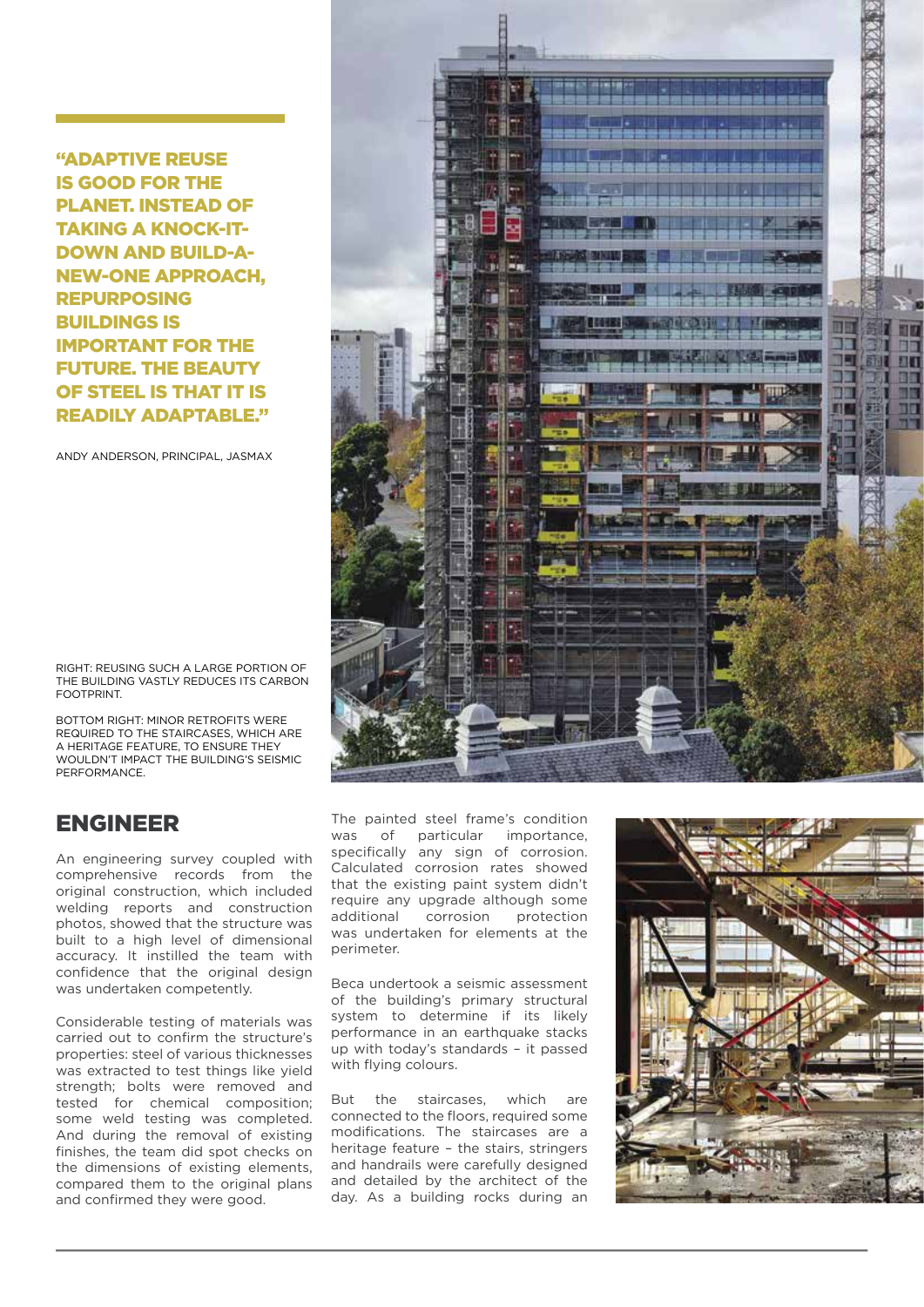"ADAPTIVE REUSE IS GOOD FOR THE PLANET. INSTEAD OF TAKING A KNOCK-IT-DOWN AND BUILD-A-NEW-ONE APPROACH, REPURPOSING BUILDINGS IS IMPORTANT FOR THE FUTURE. THE BEAUTY OF STEEL IS THAT IT IS READILY ADAPTABLE."

ANDY ANDERSON, PRINCIPAL, JASMAX

RIGHT: REUSING SUCH A LARGE PORTION OF THE BUILDING VASTLY REDUCES ITS CARBON FOOTPRINT.

BOTTOM RIGHT: MINOR RETROFITS WERE REQUIRED TO THE STAIRCASES, WHICH ARE A HERITAGE FEATURE, TO ENSURE THEY WOULDN'T IMPACT THE BUILDING'S SEISMIC PERFORMANCE.

#### ENGINEER

An engineering survey coupled with comprehensive records from the original construction, which included welding reports and construction photos, showed that the structure was built to a high level of dimensional accuracy. It instilled the team with confidence that the original design was undertaken competently.

Considerable testing of materials was carried out to confirm the structure's properties: steel of various thicknesses was extracted to test things like yield strength; bolts were removed and tested for chemical composition; some weld testing was completed. And during the removal of existing finishes, the team did spot checks on the dimensions of existing elements, compared them to the original plans and confirmed they were good.



The painted steel frame's condition was of particular importance, specifically any sign of corrosion. Calculated corrosion rates showed that the existing paint system didn't require any upgrade although some additional corrosion protection was undertaken for elements at the perimeter.

Beca undertook a seismic assessment of the building's primary structural system to determine if its likely performance in an earthquake stacks up with today's standards – it passed with flying colours.

But the staircases, which are connected to the floors, required some modifications. The staircases are a heritage feature – the stairs, stringers and handrails were carefully designed and detailed by the architect of the day. As a building rocks during an

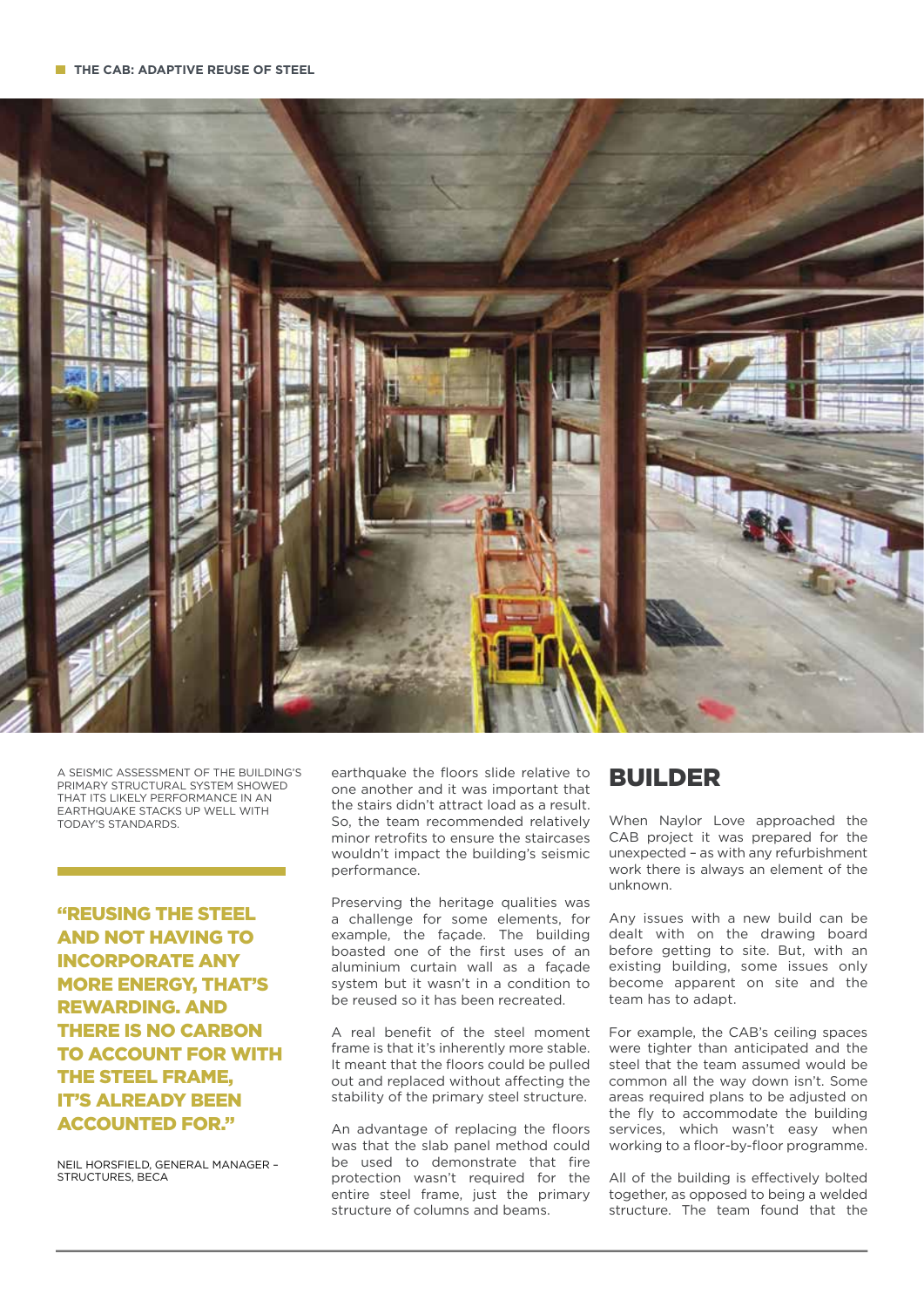

A SEISMIC ASSESSMENT OF THE BUILDING'S PRIMARY STRUCTURAL SYSTEM SHOWED THAT ITS LIKELY PERFORMANCE IN AN EARTHQUAKE STACKS UP WELL WITH TODAY'S STANDARDS.

"REUSING THE STEEL AND NOT HAVING TO INCORPORATE ANY MORE ENERGY, THAT'S REWARDING. AND THERE IS NO CARBON TO ACCOUNT FOR WITH THE STEEL FRAME, IT'S ALREADY BEEN ACCOUNTED FOR."

NEIL HORSFIELD, GENERAL MANAGER – STRUCTURES, BECA

earthquake the floors slide relative to one another and it was important that the stairs didn't attract load as a result. So, the team recommended relatively minor retrofits to ensure the staircases wouldn't impact the building's seismic performance.

Preserving the heritage qualities was a challenge for some elements, for example, the façade. The building boasted one of the first uses of an aluminium curtain wall as a façade system but it wasn't in a condition to be reused so it has been recreated.

A real benefit of the steel moment frame is that it's inherently more stable. It meant that the floors could be pulled out and replaced without affecting the stability of the primary steel structure.

An advantage of replacing the floors was that the slab panel method could be used to demonstrate that fire protection wasn't required for the entire steel frame, just the primary structure of columns and beams.

## BUILDER

When Naylor Love approached the CAB project it was prepared for the unexpected – as with any refurbishment work there is always an element of the unknown.

Any issues with a new build can be dealt with on the drawing board before getting to site. But, with an existing building, some issues only become apparent on site and the team has to adapt.

For example, the CAB's ceiling spaces were tighter than anticipated and the steel that the team assumed would be common all the way down isn't. Some areas required plans to be adjusted on the fly to accommodate the building services, which wasn't easy when working to a floor-by-floor programme.

All of the building is effectively bolted together, as opposed to being a welded structure. The team found that the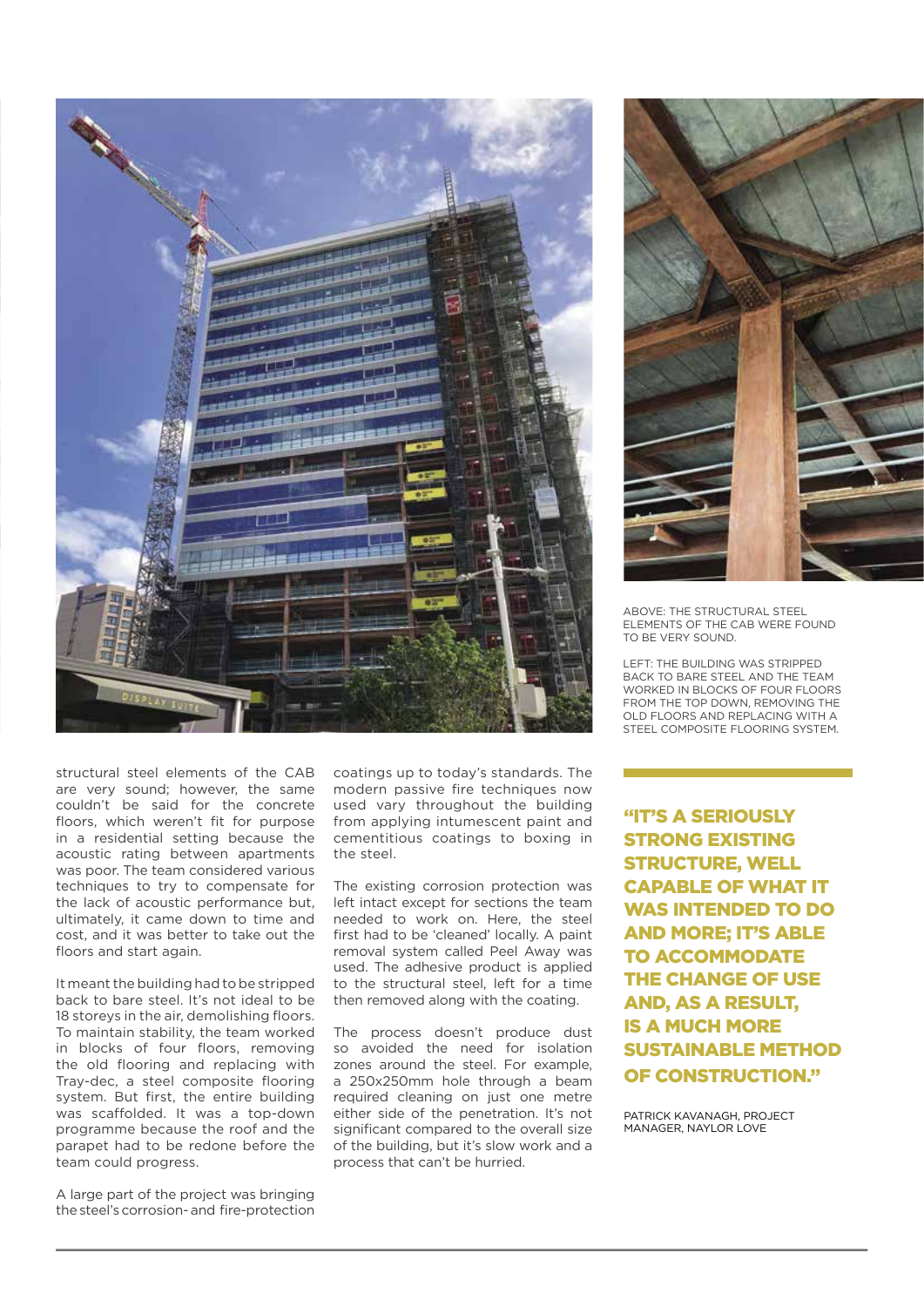



ABOVE: THE STRUCTURAL STEEL ELEMENTS OF THE CAB WERE FOUND TO BE VERY SOUND.

LEFT: THE BUILDING WAS STRIPPED BACK TO BARE STEEL AND THE TEAM WORKED IN BLOCKS OF FOUR FLOORS FROM THE TOP DOWN, REMOVING THE OLD FLOORS AND REPLACING WITH A STEEL COMPOSITE FLOORING SYSTEM.

structural steel elements of the CAB are very sound; however, the same couldn't be said for the concrete floors, which weren't fit for purpose in a residential setting because the acoustic rating between apartments was poor. The team considered various techniques to try to compensate for the lack of acoustic performance but, ultimately, it came down to time and cost, and it was better to take out the floors and start again.

It meant the building had to be stripped back to bare steel. It's not ideal to be 18 storeys in the air, demolishing floors. To maintain stability, the team worked in blocks of four floors, removing the old flooring and replacing with Tray-dec, a steel composite flooring system. But first, the entire building was scaffolded. It was a top-down programme because the roof and the parapet had to be redone before the team could progress.

A large part of the project was bringing the steel's corrosion- and fire-protection coatings up to today's standards. The modern passive fire techniques now used vary throughout the building from applying intumescent paint and cementitious coatings to boxing in the steel.

The existing corrosion protection was left intact except for sections the team needed to work on. Here, the steel first had to be 'cleaned' locally. A paint removal system called Peel Away was used. The adhesive product is applied to the structural steel, left for a time then removed along with the coating.

The process doesn't produce dust so avoided the need for isolation zones around the steel. For example, a 250x250mm hole through a beam required cleaning on just one metre either side of the penetration. It's not significant compared to the overall size of the building, but it's slow work and a process that can't be hurried.

"IT'S A SERIOUSLY STRONG EXISTING STRUCTURE, WELL CAPABLE OF WHAT IT WAS INTENDED TO DO AND MORE; IT'S ABLE TO ACCOMMODATE THE CHANGE OF USE AND, AS A RESULT, IS A MUCH MORE SUSTAINABLE METHOD OF CONSTRUCTION."

PATRICK KAVANAGH, PROJECT MANAGER, NAYLOR LOVE